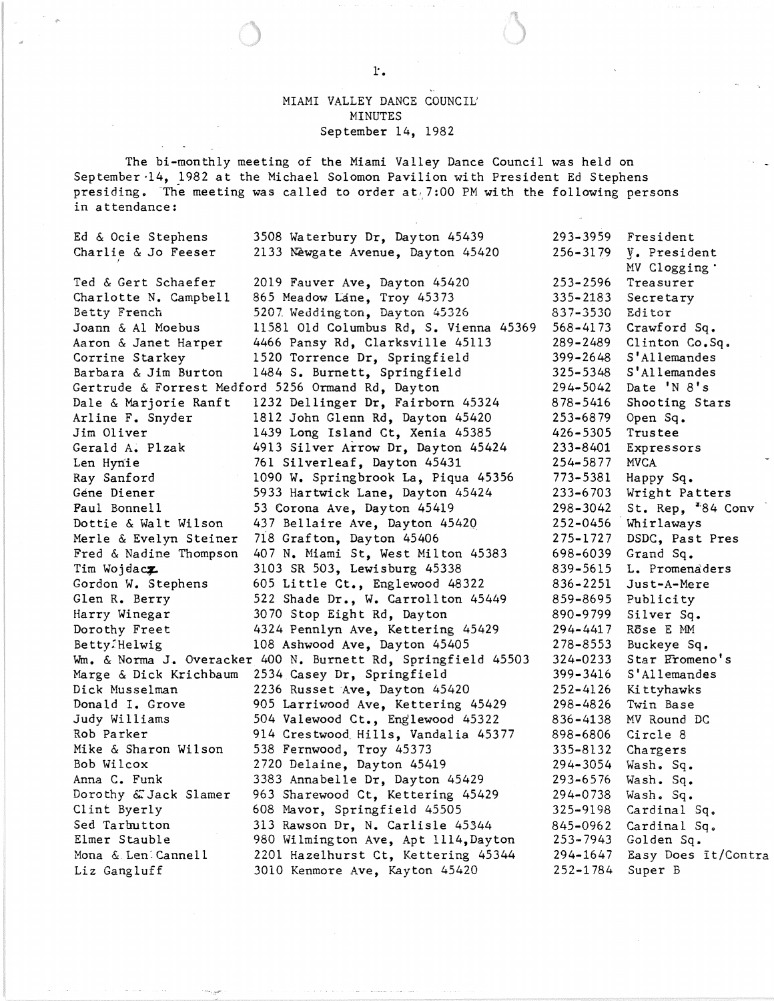## MIAMI VALLEY DANCE COUNCIL' MINUTES September 14, 1982

The bi-monthly meeting of the Miami Valley Dance Council was held on September 14, 1982 at the Michael Solomon Pavilion with President Ed Stephens presiding. The meeting was called to order  $at/7:00$  PM with the following persons in attendance:

| Ed & Ocie Stephens                                            | 3508 Waterbury Dr, Dayton 45439                               | 293–3959     | Fresident                    |
|---------------------------------------------------------------|---------------------------------------------------------------|--------------|------------------------------|
| Charlie & Jo Feeser                                           | 2133 Newgate Avenue, Dayton 45420                             | 256-3179     | V. President                 |
|                                                               |                                                               |              | MV Clogging .                |
| Ted & Gert Schaefer                                           | 2019 Fauver Ave, Dayton 45420                                 | $253 - 2596$ | Treasurer                    |
| Charlotte N. Campbell                                         | 865 Meadow Lane, Troy 45373                                   | $335 - 2183$ | Secretary                    |
| Betty French                                                  | 5207 Weddington, Dayton 45326                                 | 837-3530     | Editor                       |
| Joann & Al Moebus                                             | 11581 Old Columbus Rd, S. Vienna 45369                        | 568–4173     | Crawford Sq.                 |
| Aaron & Janet Harper                                          | 4466 Pansy Rd, Clarksville 45113                              | 289–2489     | Clinton Co.Sq.               |
| Corrine Starkey                                               | 1520 Torrence Dr, Springfield                                 | 399–2648     | S'Allemandes                 |
| Barbara & Jim Burton                                          | 1484 S. Burnett, Springfield                                  | 325–5348     | S'Allemandes                 |
| 294-5042<br>Gertrude & Forrest Medford 5256 Ormand Rd, Dayton |                                                               |              | Date 'N 8's                  |
| Dale & Marjorie Ranft                                         | 1232 Dellinger Dr, Fairborn 45324                             | 878-5416     | Shooting Stars               |
| Arline F. Snyder                                              | 1812 John Glenn Rd, Dayton 45420                              | 253–6879     | Open Sq.                     |
| Jim Oliver                                                    | 1439 Long Island Ct, Xenia 45385                              | 426–5305     | Trustee                      |
| Gerald A. Plzak                                               | 4913 Silver Arrow Dr, Dayton 45424                            | 233–8401     | Expressors                   |
| Len Hynie                                                     | 761 Silverleaf, Dayton 45431                                  | 254–5877     | <b>MVCA</b>                  |
| Ray Sanford                                                   | 1090 W. Springbrook La, Piqua 45356                           | 773-5381     | Happy Sq.                    |
| Géne Diener                                                   | 5933 Hartwick Lane, Dayton 45424                              | 233-6703     | Wright Patters               |
| Paul Bonnell                                                  | 53 Corona Ave, Dayton 45419                                   | 298-3042     | St. Rep, <sup>#84</sup> Conv |
| Dottie & Walt Wilson                                          | 437 Bellaire Ave, Dayton 45420                                | 252-0456     | Whirlaways                   |
| Merle & Evelyn Steiner                                        | 718 Grafton, Dayton 45406                                     | 275-1727     | DSDC, Past Pres              |
| Fred & Nadine Thompson                                        | 407 N. Miami St, West Milton 45383                            | 698-6039     | Grand Sq.                    |
| Tim Wojdacz                                                   | 3103 SR 503, Lewisburg 45338                                  | 839-5615     | L. Promenaders               |
| Gordon W. Stephens                                            | 605 Little Ct., Englewood 48322                               | 836-2251     | Just-A-Mere                  |
| Glen R. Berry                                                 | 522 Shade Dr., W. Carrollton 45449                            | 859-8695     | Publicity                    |
| Harry Winegar                                                 | 3070 Stop Eight Rd, Dayton                                    | 890–9799     | Silver Sq.                   |
| Dorothy Freet                                                 | 4324 Pennlyn Ave, Kettering 45429                             | 294-4417     | Rose E MM                    |
| Betty:Helwig                                                  | 108 Ashwood Ave, Dayton 45405                                 | 278-8553     | Buckeye Sq.                  |
|                                                               | Wm. & Norma J. Overacker 400 N. Burnett Rd, Springfield 45503 | 324–0233     | Star Fromeno's               |
| Marge & Dick Krichbaum                                        | 2534 Casey Dr, Springfield                                    | 399–3416     | S'Allemandes                 |
| Dick Musselman                                                | 2236 Russet Ave, Dayton 45420                                 | 252-4126     | Ki ttyhawks                  |
| Donald I. Grove                                               | 905 Larriwood Ave, Kettering 45429                            | 298-4826     | Twin Base                    |
| Judy Williams                                                 | 504 Valewood Ct., Englewood 45322                             | 836-4138     | MV Round DC                  |
| Rob Parker                                                    | 914 Crestwood Hills, Vandalia 45377                           | 898-6806     | Circle 8                     |
| Mike & Sharon Wilson                                          | 538 Fernwood, Troy 45373                                      | 335–8132     | Chargers                     |
| Bob Wilcox                                                    | 2720 Delaine, Dayton 45419                                    | 294–3054     | Wash. Sq.                    |
| Anna C. Funk                                                  | 3383 Annabelle Dr, Dayton 45429                               | 293-6576     | Wash. Sq.                    |
| Dorothy & Jack Slamer                                         | 963 Sharewood Ct, Kettering 45429                             | 294-0738     | Wash. Sq.                    |
| Clint Byerly                                                  | 608 Mavor, Springfield 45505                                  | 325-9198     | Cardinal Sq.                 |
| Sed Tarbutton                                                 | 313 Rawson Dr, N. Carlisle 45344                              | 845-0962     | Cardinal Sq.                 |
| Elmer Stauble                                                 | 980 Wilmington Ave, Apt 1114, Dayton                          | 253–7943     | Golden Sq.                   |
| Mona & Len Cannell                                            | 2201 Hazelhurst Ct, Kettering 45344                           | 294-1647     | Easy Does It/Contra          |
| Liz Gangluff                                                  | 3010 Kenmore Ave, Kayton 45420                                | 252-1784     | Super B                      |
|                                                               |                                                               |              |                              |

1'.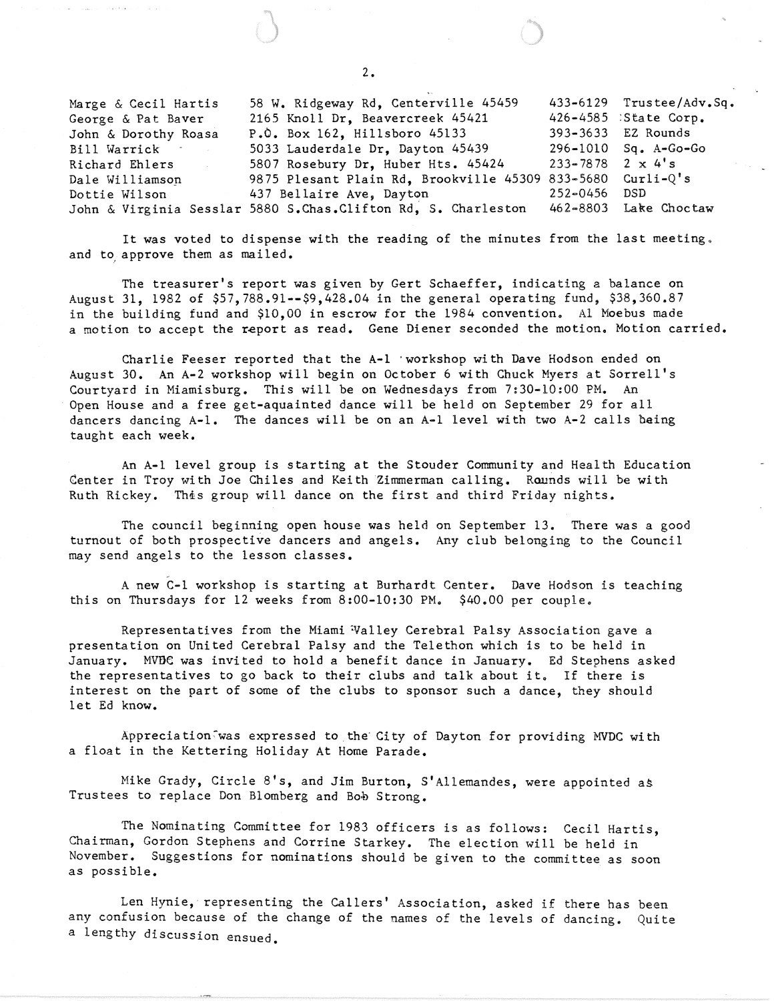Marge & Cecil Hartis George & Pat Baver John & Dorothy Roasa Bill Warrick Richard Ehlers Dale Williamsop. Dottie Wilson John & Virginia Sesslar 5880 S.Chas. Clifton Rd, S. Charleston 58 W. Ridgeway Rd, Centerville 45459 2165 Knoll Dr, Beavercreek 45421 P.O. Box 162, Hillsboro 45133 5033 Lauderdale Dr, Dayton 45439 5807 Rosebury Dr, Huber Hts. 45424 9875 Plesant Plain Rd, Brookville 45309 833-5680 437 Bellaire Ave, Dayton 433-6129 Trustee/Adv.Sq. 426-4585 :State Corp. 393-3633 EZ Rounds 296-1010 Sq. A-Go-Go 233-7878 252-0456 462-8803 Lake Choctaw  $2 \times 4$ 's Curli-Q's DSD

It was voted to dispense with the reading of the minutes from the last meeting. and to, approve them as mailed.

The treasurer's report was given by Gert Schaeffer, indicating a balance on August 31, 1982 of \$57,788.91--\$9,428.04 in the general operating fund, \$38,360.87 in the building fund and \$10,00 in escrow for the 1984 convention. Al Moebus made a motion to accept the report as read. Gene Diener seconded the motion. Motion carried.

Charlie Feeser reported that the A-l 'workshop with Dave Hodson ended on August 30. An A-2 workshop will begin on October 6 with Chuck Myers at Sorrell's Courtyard in Miamisburg. This will be on Wednesdays from 7:30-10:00 PM. An Open House and a free get-aquainted dance will be held on September 29 for all dancers dancing A-I. The dances will be on an A-I level with two A-2 calls being taught each week.

An A-l level group is starting at the Stouder Community and Health Education Center in Troy with Joe Chiles and Keith Zimmerman calling. Rounds will be with Ruth Rickey. This group will dance on the first and third Friday nights.

The council beginning open house was held on September 13. There was a good turnout of both prospective dancers and angels. Any club belonging to the Council may send angels to the lesson classes.

A new C-l workshop is starting at Burhardt Center. Dave Hodson is teaching this on Thursdays for 12 weeks from 8:00-10:30 PM. \$40.00 per couple.

Representatives from the Miami Valley Cerebral Palsy Association gave a presentation on United Cerebral Palsy and the Telethon which is to be held in January. MVDC was invited to hold a benefit dance in January. Ed Stephens asked the representatives to go back to their clubs and talk about it. If there is interest on the part of some of the clubs to sponsor such a dance, they should let Ed know.

Appreciation;was expressed to the City of Dayton for providing MVDC with a float in the Kettering Holiday At Home Parade.

Mike Grady, Circle 8's, and Jim Burton, S'Allemandes, were appointed as Trustees to replace Don Blomberg and Bob Strong.

The Nominating Committee for 1983 officers is as follows: Cecil Hartis, Chairman, Gordon Stephens and Corrine Starkey. The election will be held in November. Suggestions for nominations should be given to the committee as soon as possible.

Len Hynie, representing the Callers' Association, asked if there has been any confusion because of the change of the names of the levels of dancing. Quite a lengthy discussion ensued.

2.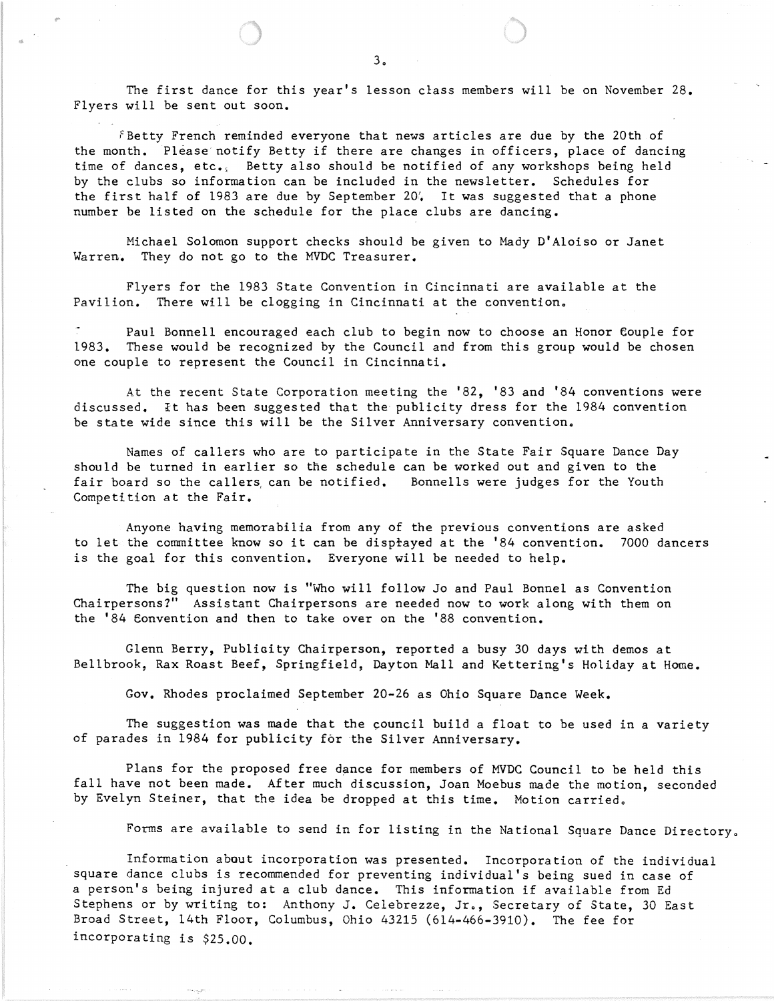The first dance for this year's lesson class members will be on November 28. Flyers will be sent out soon.

 $f$ Betty French reminded everyone that news articles are due by the 20th of the month. Please notify Betty if there are changes in officers, place of dancing time of dances, etc., Betty also should be notified of any workshops being held by the clubs so information can be included in the newsletter. Schedules for the first half of 1983 are due by September 20'. It was suggested that a phone number be listed on the schedule for the place clubs are dancing.

Michael Solomon support checks should be given to Mady D'Aloiso or Janet Warren. They do not go to the MVDC Treasurer.

Flyers for the 1983 State Convention in Cincinnati are available at the Pavilion. There will be clogging in Cincinnati at the convention.

Paul Bonnell encouraged each club to begin now to choose an Honor Couple for 1983. These would be recognized by the Council and from this group would be chosen one couple to represent the Council in Cincinnati.

At the recent State Corporation meeting the '82, '83 and '84 conventions were discussed. It has been suggested that the publicity dress for the 1984 convention be state wide since this will be the Silver Anniversary convention.

Names of callers who are to participate in the State Fair Square Dance Day should be turned in earlier so the schedule can be worked out and given to the fair board so the callers, can be notified. Bonnells were judges for the Youth Competition at the Fair.

Anyone having memorabilia from any of the previous conventions are asked to let the committee know so it can be disprayed at the '84 convention. 7000 dancers is the goal for this convention. Everyone will be needed to help.

The big question now is "Who will follow Jo and Paul Bonnel as Convention Chairpersons?" Assistant Chairpersons are needed now to work along with them on the '84 Convention and then to take over on the '88 convention.

Glenn Berry, PubliGity Chairperson, reported a busy 30 days with demos at Bellbrook, Rax Roast Beef, Springfield, Dayton Mall and Kettering's Holiday at Home.

Gov. Rhodes proclaimed September 20-26 as Ohio Square Dance Week.

The suggestion was made that the council build a float to be used in a variety of parades in 1984 for publicity for the Silver Anniversary.

Plans for the proposed free dance for members of MVDC Council to be held this fall have not been made. After much discussion, Joan Moebus made the motion, seconded by Evelyn Steiner, that the idea be dropped at this time. Motion carried.

Forms are available to send in for listing in the National Square Dance Directory.

Information about incorporation was presented. Incorporation of the individual square dance clubs is recommended for preventing individual's being sued in case of a person's being injured at a club dance. This information if available from Ed Stephens or by writing to: Anthony J. Celebrezze, Jr., Secretary of State, 30 East Broad Street, 14th Floor, Columbus, Ohio 43215 (614-466-3910). The fee for incorporating is \$25.00.

.. ..